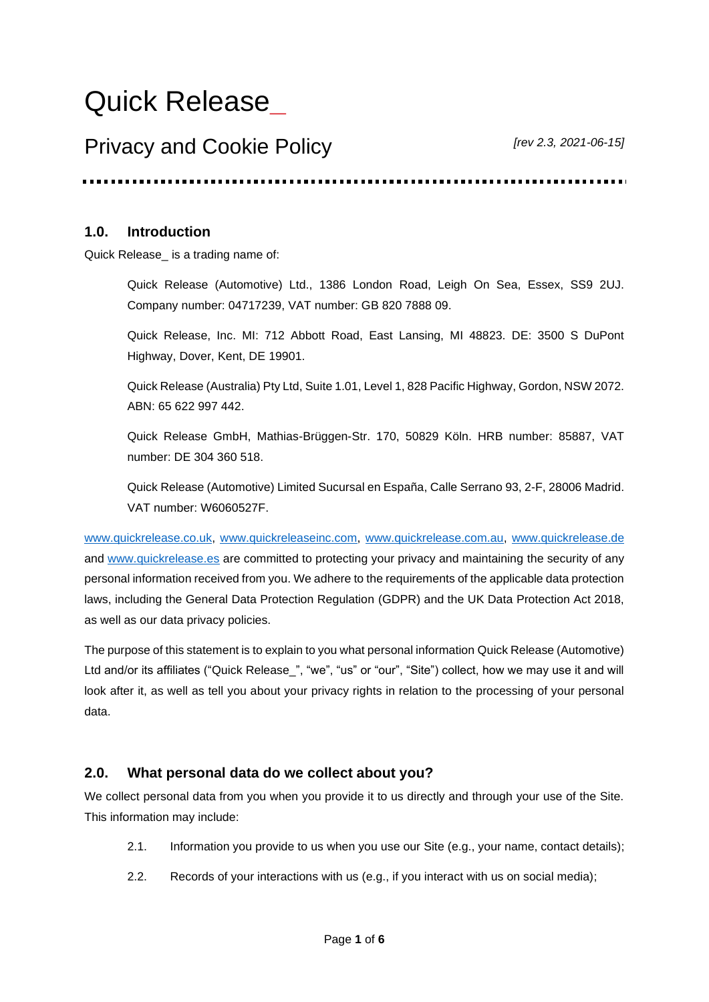# Quick Release**\_**

# Privacy and Cookie Policy

*[rev 2.3, 2021-06-15]*

# **1.0. Introduction**

Quick Release is a trading name of:

Quick Release (Automotive) Ltd., 1386 London Road, Leigh On Sea, Essex, SS9 2UJ. Company number: 04717239, VAT number: GB 820 7888 09.

Quick Release, Inc. MI: 712 Abbott Road, East Lansing, MI 48823. DE: 3500 S DuPont Highway, Dover, Kent, DE 19901.

Quick Release (Australia) Pty Ltd, Suite 1.01, Level 1, 828 Pacific Highway, Gordon, NSW 2072. ABN: 65 622 997 442.

Quick Release GmbH, Mathias-Brüggen-Str. 170, 50829 Köln. HRB number: 85887, VAT number: DE 304 360 518.

Quick Release (Automotive) Limited Sucursal en España, Calle Serrano 93, 2-F, 28006 Madrid. VAT number: W6060527F.

[www.quickrelease.co.uk,](http://www.quickrelease.co.uk/) [www.quickreleaseinc.com,](http://www.quickreleaseinc.com/) [www.quickrelease.com.au,](http://www.quickrelease.com.au/) [www.quickrelease.de](http://www.quickrelease.de/) and [www.quickrelease.es](http://www.quickrelease.es/) are committed to protecting your privacy and maintaining the security of any personal information received from you. We adhere to the requirements of the applicable data protection laws, including the General Data Protection Regulation (GDPR) and the UK Data Protection Act 2018, as well as our data privacy policies.

The purpose of this statement is to explain to you what personal information Quick Release (Automotive) Ltd and/or its affiliates ("Quick Release\_", "we", "us" or "our", "Site") collect, how we may use it and will look after it, as well as tell you about your privacy rights in relation to the processing of your personal data.

# **2.0. What personal data do we collect about you?**

We collect personal data from you when you provide it to us directly and through your use of the Site. This information may include:

- 2.1. Information you provide to us when you use our Site (e.g., your name, contact details);
- 2.2. Records of your interactions with us (e.g., if you interact with us on social media);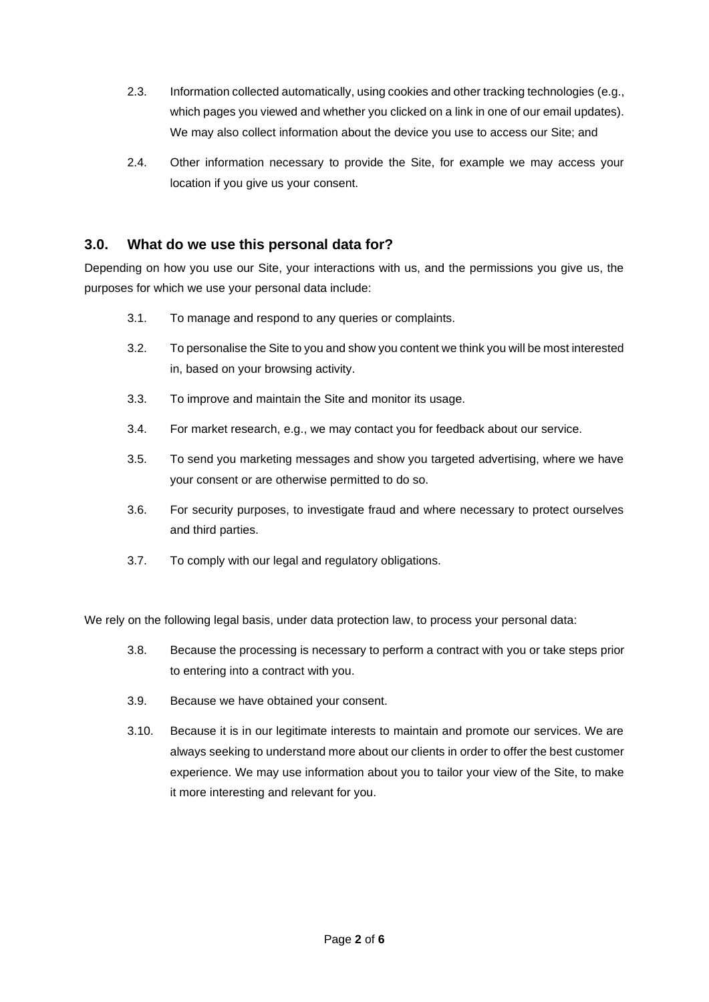- 2.3. Information collected automatically, using cookies and other tracking technologies (e.g., which pages you viewed and whether you clicked on a link in one of our email updates). We may also collect information about the device you use to access our Site; and
- 2.4. Other information necessary to provide the Site, for example we may access your location if you give us your consent.

# **3.0. What do we use this personal data for?**

Depending on how you use our Site, your interactions with us, and the permissions you give us, the purposes for which we use your personal data include:

- 3.1. To manage and respond to any queries or complaints.
- 3.2. To personalise the Site to you and show you content we think you will be most interested in, based on your browsing activity.
- 3.3. To improve and maintain the Site and monitor its usage.
- 3.4. For market research, e.g., we may contact you for feedback about our service.
- 3.5. To send you marketing messages and show you targeted advertising, where we have your consent or are otherwise permitted to do so.
- 3.6. For security purposes, to investigate fraud and where necessary to protect ourselves and third parties.
- 3.7. To comply with our legal and regulatory obligations.

We rely on the following legal basis, under data protection law, to process your personal data:

- 3.8. Because the processing is necessary to perform a contract with you or take steps prior to entering into a contract with you.
- 3.9. Because we have obtained your consent.
- 3.10. Because it is in our legitimate interests to maintain and promote our services. We are always seeking to understand more about our clients in order to offer the best customer experience. We may use information about you to tailor your view of the Site, to make it more interesting and relevant for you.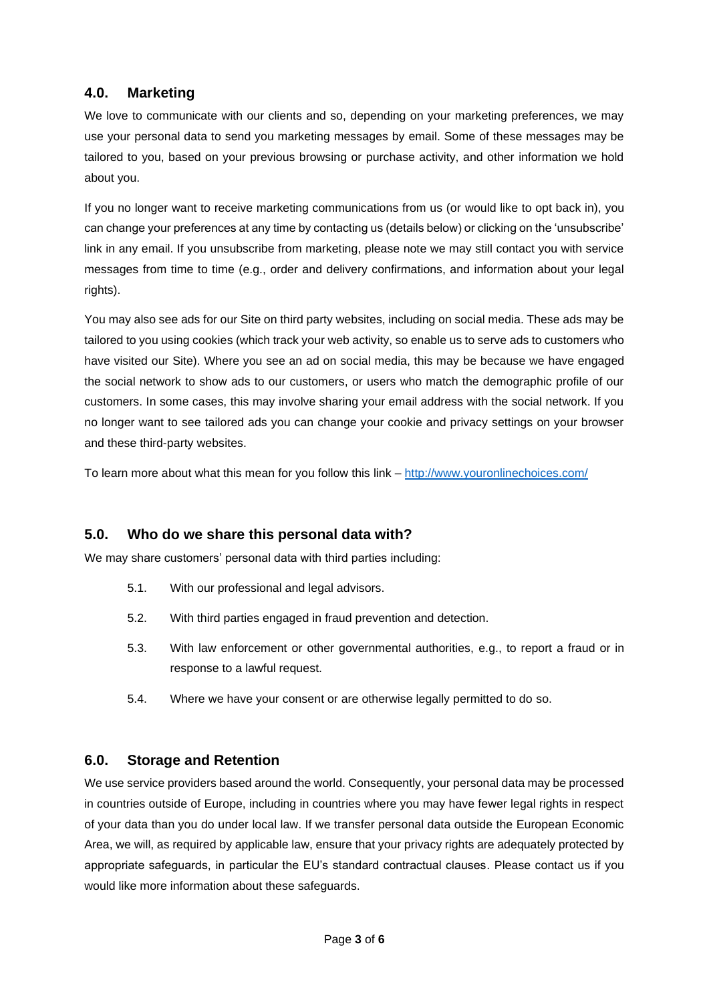# **4.0. Marketing**

We love to communicate with our clients and so, depending on your marketing preferences, we may use your personal data to send you marketing messages by email. Some of these messages may be tailored to you, based on your previous browsing or purchase activity, and other information we hold about you.

If you no longer want to receive marketing communications from us (or would like to opt back in), you can change your preferences at any time by contacting us (details below) or clicking on the 'unsubscribe' link in any email. If you unsubscribe from marketing, please note we may still contact you with service messages from time to time (e.g., order and delivery confirmations, and information about your legal rights).

You may also see ads for our Site on third party websites, including on social media. These ads may be tailored to you using cookies (which track your web activity, so enable us to serve ads to customers who have visited our Site). Where you see an ad on social media, this may be because we have engaged the social network to show ads to our customers, or users who match the demographic profile of our customers. In some cases, this may involve sharing your email address with the social network. If you no longer want to see tailored ads you can change your cookie and privacy settings on your browser and these third-party websites.

To learn more about what this mean for you follow this link – <http://www.youronlinechoices.com/>

# **5.0. Who do we share this personal data with?**

We may share customers' personal data with third parties including:

- 5.1. With our professional and legal advisors.
- 5.2. With third parties engaged in fraud prevention and detection.
- 5.3. With law enforcement or other governmental authorities, e.g., to report a fraud or in response to a lawful request.
- 5.4. Where we have your consent or are otherwise legally permitted to do so.

#### **6.0. Storage and Retention**

We use service providers based around the world. Consequently, your personal data may be processed in countries outside of Europe, including in countries where you may have fewer legal rights in respect of your data than you do under local law. If we transfer personal data outside the European Economic Area, we will, as required by applicable law, ensure that your privacy rights are adequately protected by appropriate safeguards, in particular the EU's standard contractual clauses. Please contact us if you would like more information about these safeguards.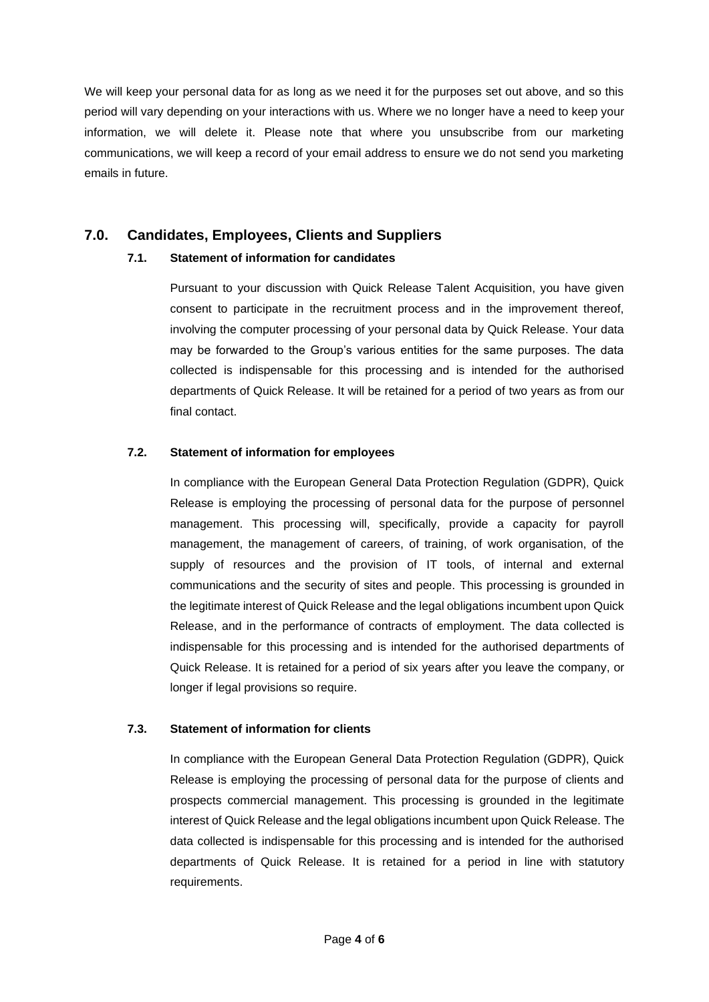We will keep your personal data for as long as we need it for the purposes set out above, and so this period will vary depending on your interactions with us. Where we no longer have a need to keep your information, we will delete it. Please note that where you unsubscribe from our marketing communications, we will keep a record of your email address to ensure we do not send you marketing emails in future.

# **7.0. Candidates, Employees, Clients and Suppliers**

#### **7.1. Statement of information for candidates**

Pursuant to your discussion with Quick Release Talent Acquisition, you have given consent to participate in the recruitment process and in the improvement thereof, involving the computer processing of your personal data by Quick Release. Your data may be forwarded to the Group's various entities for the same purposes. The data collected is indispensable for this processing and is intended for the authorised departments of Quick Release. It will be retained for a period of two years as from our final contact.

#### **7.2. Statement of information for employees**

In compliance with the European General Data Protection Regulation (GDPR), Quick Release is employing the processing of personal data for the purpose of personnel management. This processing will, specifically, provide a capacity for payroll management, the management of careers, of training, of work organisation, of the supply of resources and the provision of IT tools, of internal and external communications and the security of sites and people. This processing is grounded in the legitimate interest of Quick Release and the legal obligations incumbent upon Quick Release, and in the performance of contracts of employment. The data collected is indispensable for this processing and is intended for the authorised departments of Quick Release. It is retained for a period of six years after you leave the company, or longer if legal provisions so require.

#### **7.3. Statement of information for clients**

In compliance with the European General Data Protection Regulation (GDPR), Quick Release is employing the processing of personal data for the purpose of clients and prospects commercial management. This processing is grounded in the legitimate interest of Quick Release and the legal obligations incumbent upon Quick Release. The data collected is indispensable for this processing and is intended for the authorised departments of Quick Release. It is retained for a period in line with statutory requirements.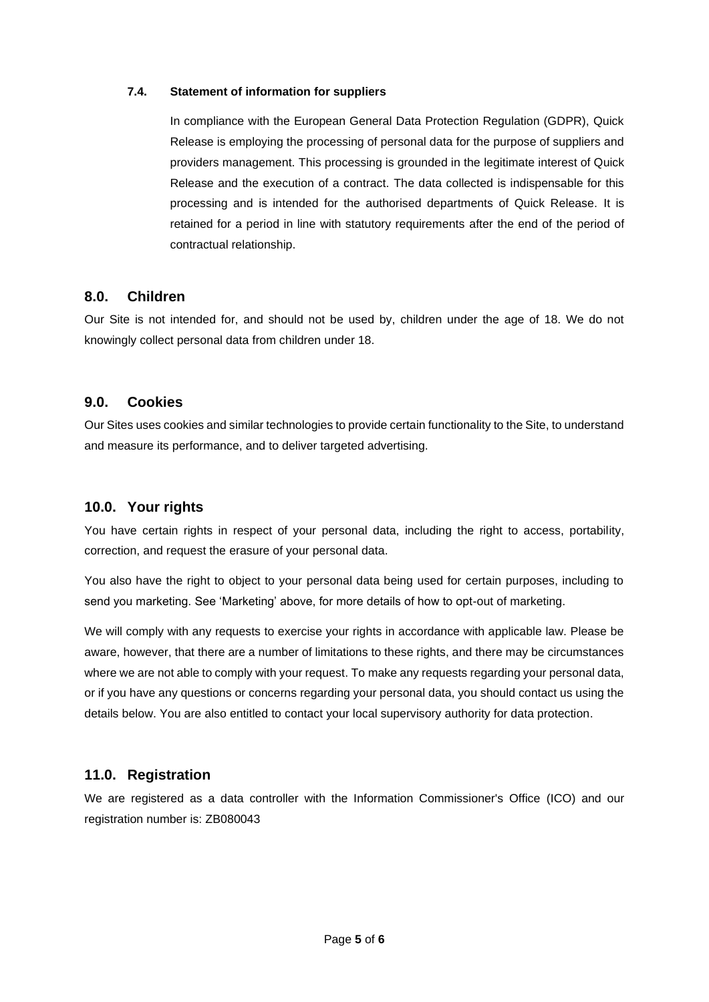#### **7.4. Statement of information for suppliers**

In compliance with the European General Data Protection Regulation (GDPR), Quick Release is employing the processing of personal data for the purpose of suppliers and providers management. This processing is grounded in the legitimate interest of Quick Release and the execution of a contract. The data collected is indispensable for this processing and is intended for the authorised departments of Quick Release. It is retained for a period in line with statutory requirements after the end of the period of contractual relationship.

# **8.0. Children**

Our Site is not intended for, and should not be used by, children under the age of 18. We do not knowingly collect personal data from children under 18.

# **9.0. Cookies**

Our Sites uses cookies and similar technologies to provide certain functionality to the Site, to understand and measure its performance, and to deliver targeted advertising.

# **10.0. Your rights**

You have certain rights in respect of your personal data, including the right to access, portability, correction, and request the erasure of your personal data.

You also have the right to object to your personal data being used for certain purposes, including to send you marketing. See 'Marketing' above, for more details of how to opt-out of marketing.

We will comply with any requests to exercise your rights in accordance with applicable law. Please be aware, however, that there are a number of limitations to these rights, and there may be circumstances where we are not able to comply with your request. To make any requests regarding your personal data, or if you have any questions or concerns regarding your personal data, you should contact us using the details below. You are also entitled to contact your local supervisory authority for data protection.

# **11.0. Registration**

We are registered as a data controller with the Information Commissioner's Office (ICO) and our registration number is: ZB080043